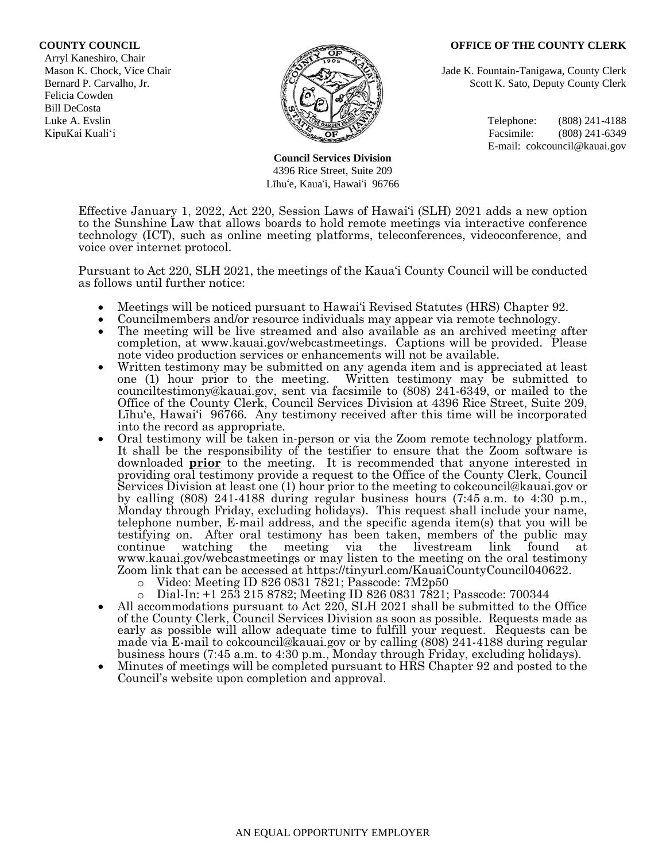## **COUNTY COUNCIL OFFICE OF THE COUNTY CLERK**

 Arryl Kaneshiro, Chair Felicia Cowden Bill DeCosta



**Council Services Division** 4396 Rice Street, Suite 209 Līhu'e, Kaua'i, Hawai'i 96766

Mason K. Chock, Vice Chair **Jade K. Fountain-Tanigawa, County Clerk** Jade K. Fountain-Tanigawa, County Clerk Bernard P. Carvalho, Jr. Scott K. Sato, Deputy County Clerk

Luke A. Evslin  $\mathbb{R}^n$  Telephone: (808) 241-4188 KipuKai Kuali'i Facsimile: (808) 241-6349 E-mail: cokcouncil@kauai.gov

Effective January 1, 2022, Act 220, Session Laws of Hawai'i (SLH) 2021 adds a new option to the Sunshine Law that allows boards to hold remote meetings via interactive conference technology (ICT), such as online meeting platforms, teleconferences, videoconference, and voice over internet protocol.

Pursuant to Act 220, SLH 2021, the meetings of the Kaua'i County Council will be conducted as follows until further notice:

- Meetings will be noticed pursuant to Hawai'i Revised Statutes (HRS) Chapter 92.
- Councilmembers and/or resource individuals may appear via remote technology.
- The meeting will be live streamed and also available as an archived meeting after completion, at www.kauai.gov/webcastmeetings. Captions will be provided. Please note video production services or enhancements will not be available.
- Written testimony may be submitted on any agenda item and is appreciated at least one (1) hour prior to the meeting. Written testimony may be submitted to counciltestimony@kauai.gov, sent via facsimile to (808) 241-6349, or mailed to the Office of the County Clerk, Council Services Division at 4396 Rice Street, Suite 209, Līhu'e, Hawai'i 96766. Any testimony received after this time will be incorporated into the record as appropriate.
- Oral testimony will be taken in-person or via the Zoom remote technology platform. It shall be the responsibility of the testifier to ensure that the Zoom software is downloaded **prior** to the meeting. It is recommended that anyone interested in providing oral testimony provide a request to the Office of the County Clerk, Council Services Division at least one (1) hour prior to the meeting to cokcouncil@kauai.gov or by calling (808) 241-4188 during regular business hours (7:45 a.m. to 4:30 p.m., Monday through Friday, excluding holidays). This request shall include your name, telephone number, E-mail address, and the specific agenda item(s) that you will be testifying on. After oral testimony has been taken, members of the public may continue watching the meeting via the livestream link found at www.kauai.gov/webcastmeetings or may listen to the meeting on the oral testimony Zoom link that can be accessed at https://tinyurl.com/KauaiCountyCouncil040622.
	- $\circ$  Video: Meeting ID 826 0831 7821; Passcode: 7M2p50
	- o Dial-In: +1 253 215 8782; Meeting ID 826 0831 7821; Passcode: 700344
- All accommodations pursuant to Act 220, SLH 2021 shall be submitted to the Office of the County Clerk, Council Services Division as soon as possible. Requests made as early as possible will allow adequate time to fulfill your request. Requests can be made via E-mail to cokcouncil@kauai.gov or by calling (808) 241-4188 during regular business hours (7:45 a.m. to 4:30 p.m., Monday through Friday, excluding holidays).
- Minutes of meetings will be completed pursuant to HRS Chapter 92 and posted to the Council's website upon completion and approval.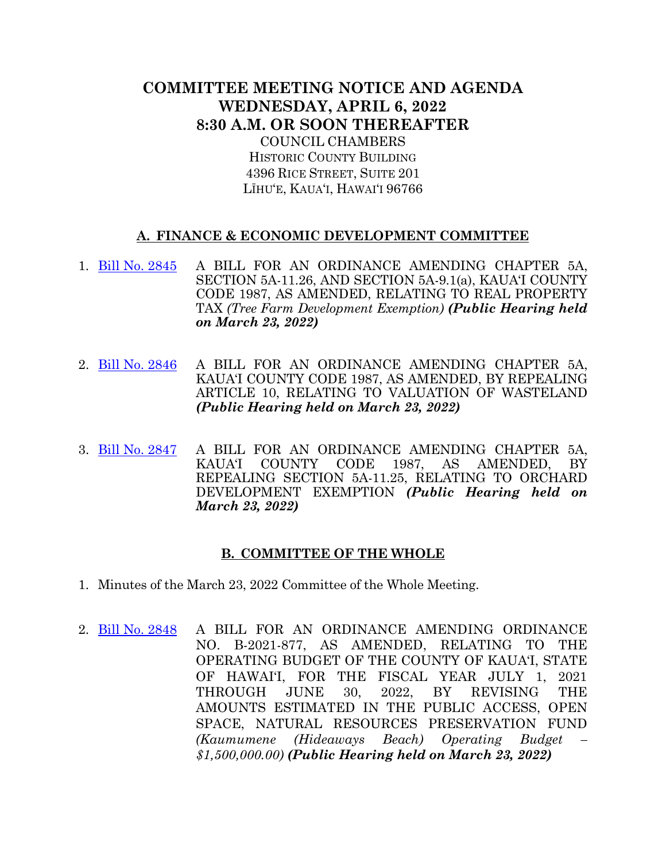## **COMMITTEE MEETING NOTICE AND AGENDA WEDNESDAY, APRIL 6, 2022 8:30 A.M. OR SOON THEREAFTER** COUNCIL CHAMBERS

HISTORIC COUNTY BUILDING 4396 RICE STREET, SUITE 201 LĪHU'E, KAUA'I, HAWAI'I 96766

## **A. FINANCE & ECONOMIC DEVELOPMENT COMMITTEE**

- 1. [Bill No. 2845](https://kauai.granicus.com/MetaViewer.php?view_id=&event_id=1030&meta_id=158446) A BILL FOR AN ORDINANCE AMENDING CHAPTER 5A, SECTION 5A-11.26, AND SECTION 5A-9.1(a), KAUA'I COUNTY CODE 1987, AS AMENDED, RELATING TO REAL PROPERTY TAX *(Tree Farm Development Exemption) (Public Hearing held on March 23, 2022)*
- 2. Bill [No. 2846](https://kauai.granicus.com/MetaViewer.php?view_id=&event_id=1030&meta_id=158448) A BILL FOR AN ORDINANCE AMENDING CHAPTER 5A, KAUA'I COUNTY CODE 1987, AS AMENDED, BY REPEALING ARTICLE 10, RELATING TO VALUATION OF WASTELAND *(Public Hearing held on March 23, 2022)*
- 3. [Bill No. 2847](https://kauai.granicus.com/MetaViewer.php?view_id=&event_id=1030&meta_id=158517) A BILL FOR AN ORDINANCE AMENDING CHAPTER 5A, KAUA'I COUNTY CODE 1987, AS AMENDED, BY REPEALING SECTION 5A-11.25, RELATING TO ORCHARD DEVELOPMENT EXEMPTION *(Public Hearing held on March 23, 2022)*

## **B. COMMITTEE OF THE WHOLE**

- 1. Minutes of the March 23, 2022 Committee of the Whole Meeting.
- 2. [Bill No. 2848](https://kauai.granicus.com/MetaViewer.php?view_id=&event_id=1030&meta_id=158452) A BILL FOR AN ORDINANCE AMENDING ORDINANCE NO. B-2021-877, AS AMENDED, RELATING TO THE OPERATING BUDGET OF THE COUNTY OF KAUA'I, STATE OF HAWAI'I, FOR THE FISCAL YEAR JULY 1, 2021 THROUGH JUNE 30, 2022, BY REVISING THE AMOUNTS ESTIMATED IN THE PUBLIC ACCESS, OPEN SPACE, NATURAL RESOURCES PRESERVATION FUND *(Kaumumene (Hideaways Beach) Operating Budget – \$1,500,000.00) (Public Hearing held on March 23, 2022)*